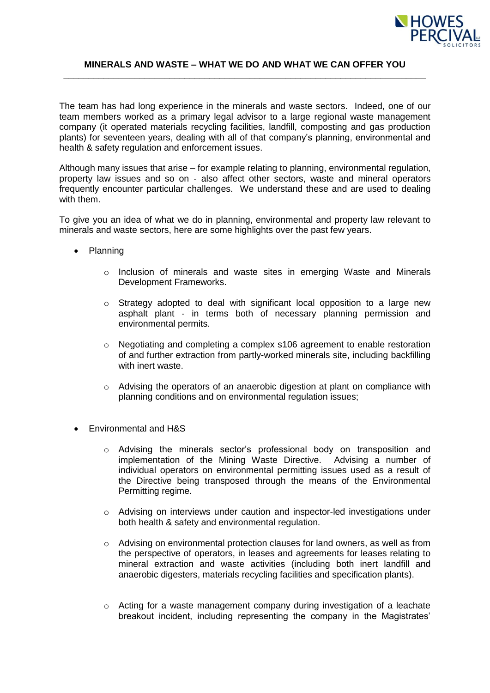

## **MINERALS AND WASTE – WHAT WE DO AND WHAT WE CAN OFFER YOU \_\_\_\_\_\_\_\_\_\_\_\_\_\_\_\_\_\_\_\_\_\_\_\_\_\_\_\_\_\_\_\_\_\_\_\_\_\_\_\_\_\_\_\_\_\_\_\_\_\_\_\_\_\_\_\_\_\_\_\_\_\_\_\_\_\_\_\_\_\_\_\_**

The team has had long experience in the minerals and waste sectors. Indeed, one of our team members worked as a primary legal advisor to a large regional waste management company (it operated materials recycling facilities, landfill, composting and gas production plants) for seventeen years, dealing with all of that company's planning, environmental and health & safety regulation and enforcement issues.

Although many issues that arise – for example relating to planning, environmental regulation, property law issues and so on - also affect other sectors, waste and mineral operators frequently encounter particular challenges. We understand these and are used to dealing with them.

To give you an idea of what we do in planning, environmental and property law relevant to minerals and waste sectors, here are some highlights over the past few years.

- Planning
	- o Inclusion of minerals and waste sites in emerging Waste and Minerals Development Frameworks.
	- $\circ$  Strategy adopted to deal with significant local opposition to a large new asphalt plant - in terms both of necessary planning permission and environmental permits.
	- $\circ$  Negotiating and completing a complex s106 agreement to enable restoration of and further extraction from partly-worked minerals site, including backfilling with inert waste.
	- $\circ$  Advising the operators of an anaerobic digestion at plant on compliance with planning conditions and on environmental regulation issues;
- Environmental and H&S
	- o Advising the minerals sector's professional body on transposition and implementation of the Mining Waste Directive. Advising a number of individual operators on environmental permitting issues used as a result of the Directive being transposed through the means of the Environmental Permitting regime.
	- $\circ$  Advising on interviews under caution and inspector-led investigations under both health & safety and environmental regulation.
	- $\circ$  Advising on environmental protection clauses for land owners, as well as from the perspective of operators, in leases and agreements for leases relating to mineral extraction and waste activities (including both inert landfill and anaerobic digesters, materials recycling facilities and specification plants).
	- $\circ$  Acting for a waste management company during investigation of a leachate breakout incident, including representing the company in the Magistrates'